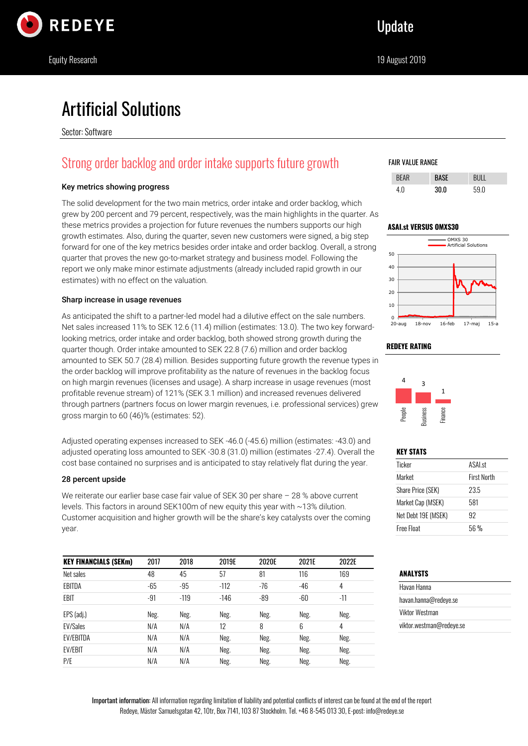

# Artificial Solutions

Sector: Software

# Strong order backlog and order intake supports future growth

### Key metrics showing progress

The solid development for the two main metrics, order intake and order backlog, which grew by 200 percent and 79 percent, respectively, was the main highlights in the quarter. As these metrics provides a projection for future revenues the numbers supports our high growth estimates. Also, during the quarter, seven new customers were signed, a big step forward for one of the key metrics besides order intake and order backlog. Overall, a strong quarter that proves the new go-to-market strategy and business model. Following the report we only make minor estimate adjustments (already included rapid growth in our estimates) with no effect on the valuation.

#### Sharp increase in usage revenues

As anticipated the shift to a partner-led model had a dilutive effect on the sale numbers. Net sales increased 11% to SEK 12.6 (11.4) million (estimates: 13.0). The two key forwardlooking metrics, order intake and order backlog, both showed strong growth during the quarter though. Order intake amounted to SEK 22.8 (7.6) million and order backlog amounted to SEK 50.7 (28.4) million. Besides supporting future growth the revenue types in the order backlog will improve profitability as the nature of revenues in the backlog focus on high margin revenues (licenses and usage). A sharp increase in usage revenues (most profitable revenue stream) of 121% (SEK 3.1 million) and increased revenues delivered through partners (partners focus on lower margin revenues, i.e. professional services) grew gross margin to 60 (46)% (estimates: 52).

Adjusted operating expenses increased to SEK -46.0 (-45.6) million (estimates: -43.0) and adjusted operating loss amounted to SEK -30.8 (31.0) million (estimates -27.4). Overall the cost base contained no surprises and is anticipated to stay relatively flat during the year.

### 28 percent upside

We reiterate our earlier base case fair value of SEK 30 per share – 28 % above current levels. This factors in around SEK100m of new equity this year with ~13% dilution. Customer acquisition and higher growth will be the share's key catalysts over the coming year.

| <b>KEY FINANCIALS (SEKm)</b> | 2017  | 2018   | 2019E  | 2020E | 2021E | 2022E |
|------------------------------|-------|--------|--------|-------|-------|-------|
| Net sales                    | 48    | 45     | 57     | 81    | 116   | 169   |
| EBITDA                       | $-65$ | $-95$  | $-112$ | $-76$ | $-46$ | 4     |
| EBIT                         | $-91$ | $-119$ | $-146$ | $-89$ | $-60$ | $-11$ |
| EPS (adj.)                   | Neg.  | Neg.   | Neg.   | Neg.  | Neg.  | Neg.  |
| <b>EV/Sales</b>              | N/A   | N/A    | 12     | 8     | 6     | 4     |
| <b>EV/EBITDA</b>             | N/A   | N/A    | Neg.   | Neg.  | Neg.  | Neg.  |
| <b>EV/EBIT</b>               | N/A   | N/A    | Neg.   | Neg.  | Neg.  | Neg.  |
| P/E                          | N/A   | N/A    | Neg.   | Neg.  | Neg.  | Neg.  |

### FAIR VALUE RANGE

| RFI |     |      |
|-----|-----|------|
| 4 በ | 300 | 59 N |





### **REDEYE RATING**



### **KEY STATS**

| ASAL <sub>st</sub> |
|--------------------|
| <b>First North</b> |
| 23.5               |
| 581                |
| 92                 |
| 56 %               |
|                    |

### **ANALYSTS**

| Havan Hanna              |  |
|--------------------------|--|
| havan.hanna@redeve.se    |  |
| Viktor Westman           |  |
| viktor.westman@redeye.se |  |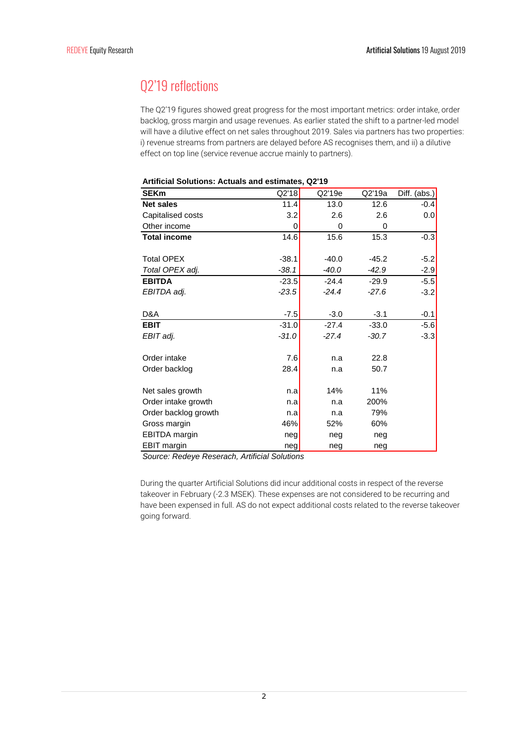# Q2'19 reflections

The Q2'19 figures showed great progress for the most important metrics: order intake, order backlog, gross margin and usage revenues. As earlier stated the shift to a partner-led model will have a dilutive effect on net sales throughout 2019. Sales via partners has two properties: i) revenue streams from partners are delayed before AS recognises them, and ii) a dilutive effect on top line (service revenue accrue mainly to partners).

| <b>SEKm</b>          | Q2'18   | Q2'19e  | Q2'19a  | Diff. (abs.) |
|----------------------|---------|---------|---------|--------------|
| <b>Net sales</b>     | 11.4    | 13.0    | 12.6    | $-0.4$       |
| Capitalised costs    | 3.2     | 2.6     | 2.6     | 0.0          |
| Other income         | 0       | 0       | 0       |              |
| <b>Total income</b>  | 14.6    | 15.6    | 15.3    | $-0.3$       |
|                      |         |         |         |              |
| <b>Total OPEX</b>    | $-38.1$ | $-40.0$ | $-45.2$ | $-5.2$       |
| Total OPEX adj.      | $-38.1$ | $-40.0$ | $-42.9$ | $-2.9$       |
| <b>EBITDA</b>        | $-23.5$ | $-24.4$ | $-29.9$ | $-5.5$       |
| EBITDA adj.          | $-23.5$ | $-24.4$ | $-27.6$ | $-3.2$       |
|                      |         |         |         |              |
| D&A                  | $-7.5$  | $-3.0$  | $-3.1$  | $-0.1$       |
| <b>EBIT</b>          | $-31.0$ | $-27.4$ | $-33.0$ | $-5.6$       |
| EBIT adj.            | $-31.0$ | $-27.4$ | $-30.7$ | $-3.3$       |
|                      |         |         |         |              |
| Order intake         | 7.6     | n.a     | 22.8    |              |
| Order backlog        | 28.4    | n.a     | 50.7    |              |
|                      |         |         |         |              |
| Net sales growth     | n.a     | 14%     | 11%     |              |
| Order intake growth  | n.a     | n.a     | 200%    |              |
| Order backlog growth | n.a     | n.a     | 79%     |              |
| Gross margin         | 46%     | 52%     | 60%     |              |
| EBITDA margin        | neg     | neg     | neg     |              |
| <b>EBIT margin</b>   | neg     | neg     | neg     |              |

#### **Artificial Solutions: Actuals and estimates, Q2'19**

*Source: Redeye Reserach, Artificial Solutions*

During the quarter Artificial Solutions did incur additional costs in respect of the reverse takeover in February (-2.3 MSEK). These expenses are not considered to be recurring and have been expensed in full. AS do not expect additional costs related to the reverse takeover going forward.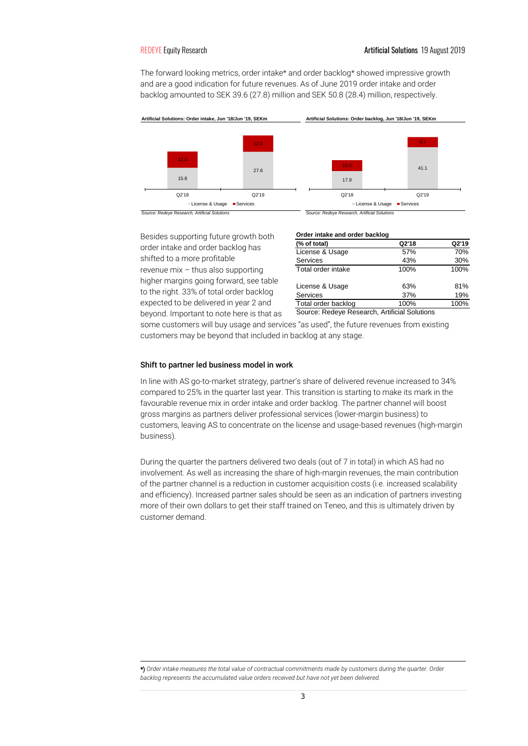The forward looking metrics, order intake\* and order backlog\* showed impressive growth and are a good indication for future revenues. As of June 2019 order intake and order backlog amounted to SEK 39.6 (27.8) million and SEK 50.8 (28.4) million, respectively.



Besides supporting future growth both order intake and order backlog has shifted to a more profitable revenue mix – thus also supporting higher margins going forward, see table to the right. 33% of total order backlog expected to be delivered in year 2 and beyond. Important to note here is that as

|      |  |  |  | Order intake and order backlog |  |
|------|--|--|--|--------------------------------|--|
|      |  |  |  |                                |  |
| $ -$ |  |  |  |                                |  |

| (% of total)        | Q2'18   | Q2'19 |
|---------------------|---------|-------|
| License & Usage     | 57%     | 70%   |
| Services            | 43%     | 30%   |
| Total order intake  | 100%    | 100%  |
| License & Usage     | 63%     | 81%   |
| Services            | 37%     | 19%   |
| Total order backlog | 100%    | 100%  |
|                     | $\cdot$ |       |

Source: Redeye Research, Artificial Solutions

some customers will buy usage and services "as used", the future revenues from existing customers may be beyond that included in backlog at any stage.

#### Shift to partner led business model in work

In line with AS go-to-market strategy, partner's share of delivered revenue increased to 34% compared to 25% in the quarter last year. This transition is starting to make its mark in the favourable revenue mix in order intake and order backlog. The partner channel will boost gross margins as partners deliver professional services (lower-margin business) to customers, leaving AS to concentrate on the license and usage-based revenues (high-margin business).

During the quarter the partners delivered two deals (out of 7 in total) in which AS had no involvement. As well as increasing the share of high-margin revenues, the main contribution of the partner channel is a reduction in customer acquisition costs (i.e. increased scalability and efficiency). Increased partner sales should be seen as an indication of partners investing more of their own dollars to get their staff trained on Teneo, and this is ultimately driven by customer demand.

\*) *Order intake measures the total value of contractual commitments made by customers during the quarter. Order backlog represents the accumulated value orders received but have not yet been delivered.*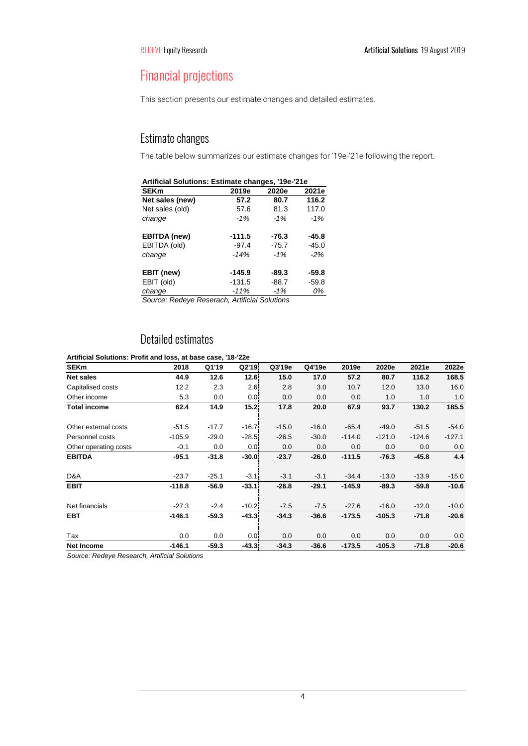# Financial projections

This section presents our estimate changes and detailed estimates.

## Estimate changes

The table below summarizes our estimate changes for '19e-'21e following the report.

| Artificial Solutions: Estimate changes, '19e-'21e |          |         |         |  |  |  |  |
|---------------------------------------------------|----------|---------|---------|--|--|--|--|
| <b>SEKm</b>                                       | 2019e    | 2020e   | 2021e   |  |  |  |  |
| Net sales (new)                                   | 57.2     | 80.7    | 116.2   |  |  |  |  |
| Net sales (old)                                   | 57.6     | 81.3    | 117.0   |  |  |  |  |
| change                                            | $-1%$    | $-1%$   | $-1%$   |  |  |  |  |
| <b>EBITDA</b> (new)                               | $-111.5$ | $-76.3$ | $-45.8$ |  |  |  |  |
| EBITDA (old)                                      | $-97.4$  | $-75.7$ | $-45.0$ |  |  |  |  |
| change                                            | $-14%$   | $-1%$   | $-2%$   |  |  |  |  |
| EBIT (new)                                        | $-145.9$ | $-89.3$ | $-59.8$ |  |  |  |  |
| EBIT (old)                                        | $-131.5$ | $-88.7$ | $-59.8$ |  |  |  |  |
| change                                            | $-11%$   | $-1%$   | 0%      |  |  |  |  |

*Source: Redeye Reserach, Artificial Solutions*

## Detailed estimates

### **Artificial Solutions: Profit and loss, at base case, '18-'22e**

| <b>SEKm</b>           | 2018     | Q1'19   | Q2'19    | Q3'19e  | Q4'19e  | 2019e    | 2020e    | 2021e    | 2022e    |
|-----------------------|----------|---------|----------|---------|---------|----------|----------|----------|----------|
| <b>Net sales</b>      | 44.9     | 12.6    | 12.6     | 15.0    | 17.0    | 57.2     | 80.7     | 116.2    | 168.5    |
| Capitalised costs     | 12.2     | 2.3     | 2.6!     | 2.8     | 3.0     | 10.7     | 12.0     | 13.0     | 16.0     |
| Other income          | 5.3      | 0.0     | 0.0      | 0.0     | 0.0     | 0.0      | 1.0      | 1.0      | 1.0      |
| <b>Total income</b>   | 62.4     | 14.9    | 15.21    | 17.8    | 20.0    | 67.9     | 93.7     | 130.2    | 185.5    |
| Other external costs  | $-51.5$  | $-17.7$ | $-16.7$  | $-15.0$ | $-16.0$ | $-65.4$  | $-49.0$  | $-51.5$  | $-54.0$  |
| Personnel costs       | $-105.9$ | $-29.0$ | $-28.5$  | $-26.5$ | $-30.0$ | $-114.0$ | $-121.0$ | $-124.6$ | $-127.1$ |
| Other operating costs | $-0.1$   | 0.0     | 0.01     | 0.0     | 0.0     | 0.0      | 0.0      | 0.0      | 0.0      |
| <b>EBITDA</b>         | $-95.1$  | $-31.8$ | $-30.01$ | $-23.7$ | $-26.0$ | $-111.5$ | $-76.3$  | $-45.8$  | 4.4      |
| D&A                   | $-23.7$  | $-25.1$ | $-3.1$   | $-3.1$  | $-3.1$  | $-34.4$  | $-13.0$  | $-13.9$  | $-15.0$  |
| <b>EBIT</b>           | $-118.8$ | $-56.9$ | $-33.1$  | $-26.8$ | $-29.1$ | $-145.9$ | $-89.3$  | $-59.8$  | $-10.6$  |
| Net financials        | $-27.3$  | $-2.4$  | $-10.2$  | $-7.5$  | $-7.5$  | $-27.6$  | $-16.0$  | $-12.0$  | $-10.0$  |
| <b>EBT</b>            | $-146.1$ | $-59.3$ | $-43.3$  | $-34.3$ | $-36.6$ | $-173.5$ | $-105.3$ | $-71.8$  | $-20.6$  |
| Tax                   | 0.0      | 0.0     | 0.0      | 0.0     | 0.0     | 0.0      | 0.0      | 0.0      | 0.0      |
| <b>Net Income</b>     | $-146.1$ | $-59.3$ | $-43.3$  | $-34.3$ | $-36.6$ | $-173.5$ | $-105.3$ | $-71.8$  | $-20.6$  |

*Source: Redeye Research, Artificial Solutions*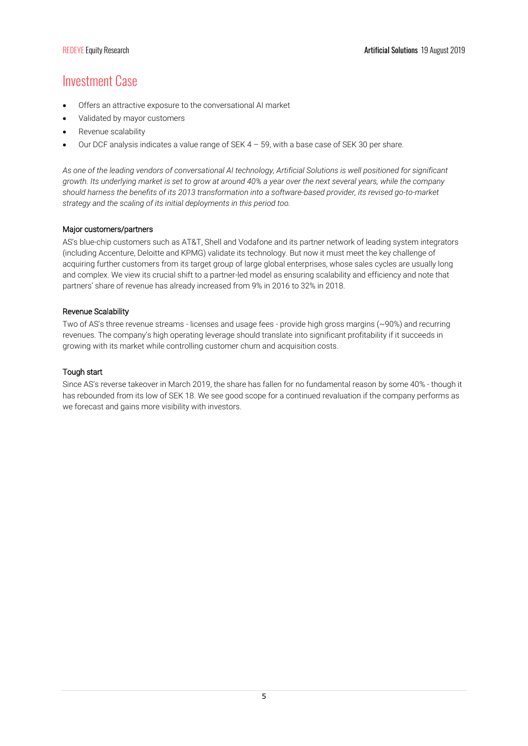# Investment Case

- Offers an attractive exposure to the conversational AI market
- Validated by mayor customers
- Revenue scalability
- Our DCF analysis indicates a value range of SEK  $4 59$ , with a base case of SEK 30 per share.

*As one of the leading vendors of conversational AI technology, Artificial Solutions is well positioned for significant growth. Its underlying market is set to grow at around 40% a year over the next several years, while the company should harness the benefits of its 2013 transformation into a software-based provider, its revised go-to-market strategy and the scaling of its initial deployments in this period too.*

### Major customers/partners

AS's blue-chip customers such as AT&T, Shell and Vodafone and its partner network of leading system integrators (including Accenture, Deloitte and KPMG) validate its technology. But now it must meet the key challenge of acquiring further customers from its target group of large global enterprises, whose sales cycles are usually long and complex. We view its crucial shift to a partner-led model as ensuring scalability and efficiency and note that partners' share of revenue has already increased from 9% in 2016 to 32% in 2018.

### Revenue Scalability

Two of AS's three revenue streams - licenses and usage fees - provide high gross margins (~90%) and recurring revenues. The company's high operating leverage should translate into significant profitability if it succeeds in growing with its market while controlling customer churn and acquisition costs.

### Tough start

Since AS's reverse takeover in March 2019, the share has fallen for no fundamental reason by some 40% - though it has rebounded from its low of SEK 18. We see good scope for a continued revaluation if the company performs as we forecast and gains more visibility with investors.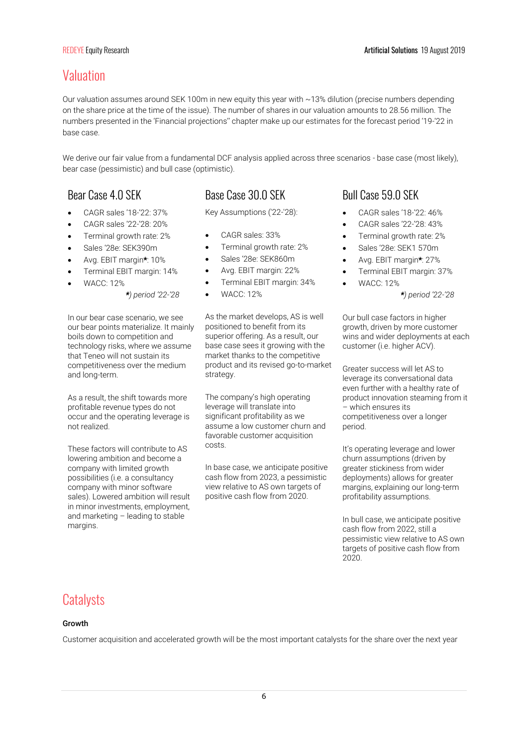# Valuation

Our valuation assumes around SEK 100m in new equity this year with ~13% dilution (precise numbers depending on the share price at the time of the issue). The number of shares in our valuation amounts to 28.56 million. The numbers presented in the 'Financial projections'' chapter make up our estimates for the forecast period '19-'22 in base case.

We derive our fair value from a fundamental DCF analysis applied across three scenarios - base case (most likely), bear case (pessimistic) and bull case (optimistic).

- CAGR sales '18-'22: 37%
- CAGR sales '22-'28: 20%
- Terminal growth rate: 2%
- Sales '28e: SEK390m
- Avg. EBIT margin\*: 10%
- Terminal EBIT margin: 14%
- WACC: 12%

### *\*) period '22-'28*

In our bear case scenario, we see our bear points materialize. It mainly boils down to competition and technology risks, where we assume that Teneo will not sustain its competitiveness over the medium and long-term.

As a result, the shift towards more profitable revenue types do not occur and the operating leverage is not realized.

These factors will contribute to AS lowering ambition and become a company with limited growth possibilities (i.e. a consultancy company with minor software sales). Lowered ambition will result in minor investments, employment, and marketing – leading to stable margins.

## Bear Case 4.0 SFK Base Case 30.0 SFK Bull Case 59.0 SFK

Key Assumptions ('22-'28):

- CAGR sales: 33%
- Terminal growth rate: 2%
- Sales '28e: SEK860m
- Avg. EBIT margin: 22%
- Terminal EBIT margin: 34%
- WACC: 12%

As the market develops, AS is well positioned to benefit from its superior offering. As a result, our base case sees it growing with the market thanks to the competitive product and its revised go-to-market strategy.

The company's high operating leverage will translate into significant profitability as we assume a low customer churn and favorable customer acquisition costs.

In base case, we anticipate positive cash flow from 2023, a pessimistic view relative to AS own targets of positive cash flow from 2020.

- CAGR sales '18-'22: 46%
- CAGR sales '22-'28: 43%
- Terminal growth rate: 2%
- Sales '28e: SEK1 570m
- Avg. EBIT margin\*: 27%
- Terminal EBIT margin: 37%
- WACC: 12%

*\*) period '22-'28* 

Our bull case factors in higher growth, driven by more customer wins and wider deployments at each customer (i.e. higher ACV).

Greater success will let AS to leverage its conversational data even further with a healthy rate of product innovation steaming from it – which ensures its competitiveness over a longer period.

It's operating leverage and lower churn assumptions (driven by greater stickiness from wider deployments) allows for greater margins, explaining our long-term profitability assumptions.

In bull case, we anticipate positive cash flow from 2022, still a pessimistic view relative to AS own targets of positive cash flow from 2020.

## **Catalysts**

#### Growth

Customer acquisition and accelerated growth will be the most important catalysts for the share over the next year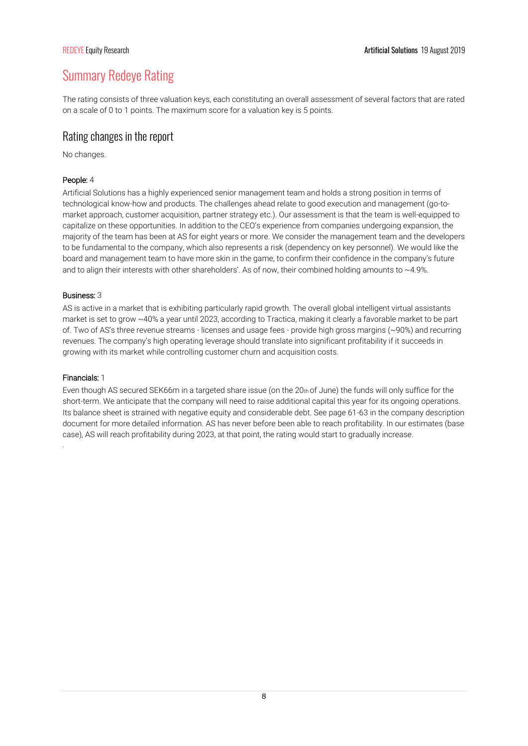# Summary Redeye Rating

The rating consists of three valuation keys, each constituting an overall assessment of several factors that are rated on a scale of 0 to 1 points. The maximum score for a valuation key is 5 points.

### Rating changes in the report

No changes.

### People: 4

Artificial Solutions has a highly experienced senior management team and holds a strong position in terms of technological know-how and products. The challenges ahead relate to good execution and management (go-tomarket approach, customer acquisition, partner strategy etc.). Our assessment is that the team is well-equipped to capitalize on these opportunities. In addition to the CEO's experience from companies undergoing expansion, the majority of the team has been at AS for eight years or more. We consider the management team and the developers to be fundamental to the company, which also represents a risk (dependency on key personnel). We would like the board and management team to have more skin in the game, to confirm their confidence in the company's future and to align their interests with other shareholders'. As of now, their combined holding amounts to  $\sim$ 4.9%.

### Business: 3

AS is active in a market that is exhibiting particularly rapid growth. The overall global intelligent virtual assistants market is set to grow ~40% a year until 2023, according to Tractica, making it clearly a favorable market to be part of. Two of AS's three revenue streams - licenses and usage fees - provide high gross margins (~90%) and recurring revenues. The company's high operating leverage should translate into significant profitability if it succeeds in growing with its market while controlling customer churn and acquisition costs.

### Financials: 1

.

Even though AS secured SEK66m in a targeted share issue (on the 20th of June) the funds will only suffice for the short-term. We anticipate that the company will need to raise additional capital this year for its ongoing operations. Its balance sheet is strained with negative equity and considerable debt. See page 61-63 in the company description document for more detailed information. AS has never before been able to reach profitability. In our estimates (base case), AS will reach profitability during 2023, at that point, the rating would start to gradually increase.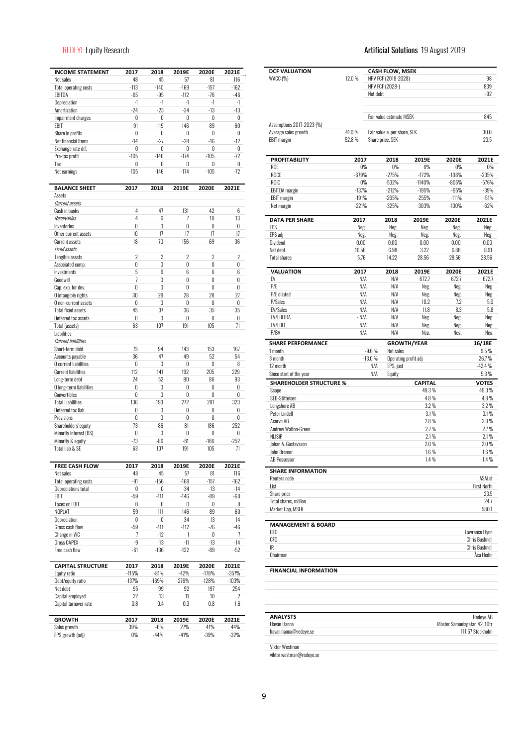| <b>INCOME STATEMENT</b>              | 2017           | 2018           | 2019E          | 2020E          | 2021E          |
|--------------------------------------|----------------|----------------|----------------|----------------|----------------|
| Net sales                            | 48             | 45             | 57             | 81             | 116            |
| <b>Total operating costs</b>         | $-113$         | $-140$         | $-169$         | $-157$         | $-162$         |
| EBITDA                               | $-65$          | $-95$          | $-112$         | $-76$          | $-46$          |
| Depreciation                         | -1             | $-1$           | $-1$           | $-1$           | $-1$           |
| Amortization                         | $-24$          | $-23$          | $-34$          | $-13$          | $-13$          |
| Impairment charges                   | 0              | 0              | 0              | 0              | 0              |
| EBIT                                 | $-91$          | $-119$         | $-146$         | $-89$          | -60            |
| Share in profits                     | 0              | 0              | 0              | 0              | 0              |
| Net financial items                  | $-14$          | $-27$          | $-28$          | $-16$          | $-12$          |
| Exchange rate dif.                   | 0              | 0              | 0              | 0              | 0              |
| Pre-tax profit                       | $-105$         | $-146$         | $-174$         | $-105$         | $-72$          |
| Tax                                  | 0              | 0              | 0              | 0              | 0              |
| Net earnings                         | $-105$         | $-146$         | $-174$         | $-105$         | $-72$          |
|                                      |                |                |                |                |                |
| <b>BALANCE SHEET</b><br>Assets       | 2017           | 2018           | 2019E          | 2020E          | 2021E          |
| Current assets                       |                |                |                |                |                |
| Cash in banks                        | 4              | 47             | 131            | 42             | 6              |
| Receivables                          | 4              | 6              | 7              | 10             | 13             |
| Inventories                          | 0              | 0              | $\mathbf{0}$   | 0              | 0              |
| Other current assets                 | 10             | 17             | 17             | 17             | 17             |
| <b>Current assets</b>                | 18             | 70             | 156            | 69             | 36             |
| <b>Fixed assets</b>                  |                |                |                |                |                |
|                                      | $\overline{2}$ | $\overline{2}$ | $\overline{2}$ | $\overline{2}$ | $\overline{2}$ |
| Tangible assets                      |                |                |                |                |                |
| Associated comp.                     | 0              | 0              | 0              | 0              | 0              |
| Investments                          | 5              | 6              | 6              | 6              | 6              |
| Goodwill                             | 7              | 0              | 0              | 0              | 0              |
| Cap. exp. for dev.                   | 0              | 0              | 0              | 0              | 0              |
| O intangible rights                  | 30             | 29             | 28             | 28             | 27             |
| O non-current assets                 | 0              | 0              | 0              | 0              | 0              |
| <b>Total fixed assets</b>            | 45             | 37             | 36             | 35             | 35             |
| Deferred tax assets                  | 0              | 0              | 0              | 0              | 0              |
| Total (assets)                       | 63             | 107            | 191            | 105            | 71             |
| Liabilities                          |                |                |                |                |                |
| <b>Current liabilities</b>           |                |                |                |                |                |
| Short-term debt                      | 75             | 94             | 143            | 153            | 167            |
| Accounts payable                     | 36             | 47             | 49             | 52             | 54             |
| O current liabilities                | 0              | 0              | 0              | 0              | 8              |
| <b>Current liabilities</b>           | 112            | 141            | 192            | 205            | 229            |
| Long-term debt                       | 24             | 52             | 80             | 86             | 93             |
| O long-term liabilities              | 0              | 0              | 0              | 0              | 0              |
| Convertibles                         | 0              | 0              | $\mathbf{0}$   | 0              | 0              |
| <b>Total Liabilities</b>             | 136            | 193            | 272            | 291            | 323            |
| Deferred tax liab                    | 0              | 0              | 0              | 0              | 0              |
| Provisions                           | 0              | 0              | 0              | 0              | 0              |
| Shareholders' equity                 | $-73$          | $-86$          | $-81$          | $-186$         | $-252$         |
| Minority interest (BS)               | 0              | 0              | 0              |                | 0              |
|                                      |                |                |                | 0              | $-252$         |
| Minority & equity<br>Total liab & SE | $-73$<br>63    | $-86$<br>107   | $-81$<br>191   | $-186$<br>105  | 71             |
|                                      |                |                |                |                |                |
| <b>FREE CASH FLOW</b>                | 2017           | 2018           | 2019E          | 2020E          | 2021E          |
| Net sales                            | 48             | 45             | 57             | 81             | 116            |
| <b>Total operating costs</b>         | -91            | $-156$         | $-169$         | $-157$         | $-162$         |
| <b>Depreciations total</b>           | 0              | 0              | $-34$          | -13            | $-14$          |
| EBIT                                 | -59            | $-111$         | $-146$         | $-89$          | $-60$          |
| <b>Taxes on EBIT</b>                 | 0              | 0              | 0              | 0              | 0              |
| NOPLAT                               | -59            | $-111$         | $-146$         | $-89$          | $-60$          |
| Depreciation                         | 0              | 0              | 34             | 13             | 14             |
| Gross cash flow                      | -59            | $-111$         | $-112$         | -76            | -46            |
| Change in WC                         | 7              | $-12$          | 1              | 0              | 7              |
| Gross CAPEX                          | -9             | $-13$          | $-11$          | $-13$          | $-14$          |
| Free cash flow                       | -61            | $-136$         | $-122$         | $-89$          | $-52$          |
|                                      |                |                |                |                |                |
| <b>CAPITAL STRUCTURE</b>             | 2017           | 2018           | 2019E          | 2020E          | 2021E          |
| Equity ratio                         | $-115%$        | $-81%$         | $-42%$         | $-178%$        | $-357%$        |
| Debt/equity ratio                    | $-137%$        | $-169%$        | $-276%$        | $-128%$        | $-103%$        |
| Net debt                             | 95             | 99             | 92             | 197            | 254            |
| Capital employed                     | 22             | 13             | 11             | 10             | 2              |
| Capital turnover rate                | 0.8            | $0.4\,$        | $0.3\,$        | 0.8            | 1.6            |
| <b>GROWTH</b>                        | 2017           | 2018           | 2019E          | 2020E          | 2021E          |
| Sales growth                         | 39%            | $-6%$          | 27%            | 41%            | 44%            |
| EPS growth (adj)                     | 0%             | $-44%$         | $-41%$         | $-39%$         | $-32%$         |

### REDEYE Equity Research Artificial Solutions 19 August 2019

| <b>DCF VALUATION</b><br>WACC (%)          | 12.0%             |          | <b>CASH FLOW, MSEK</b><br>NPV FCF (2018-2028) |                 |                              | 98                    |
|-------------------------------------------|-------------------|----------|-----------------------------------------------|-----------------|------------------------------|-----------------------|
|                                           |                   |          | NPV FCF (2028-)                               |                 |                              | 839                   |
|                                           |                   | Net debt |                                               |                 |                              | $-92$                 |
|                                           |                   |          | Fair value estimate MSEK                      |                 |                              | 845                   |
| Assumptions 2017-2023 (%)                 |                   |          |                                               |                 |                              |                       |
| Average sales growth                      | 41.0%             |          | Fair value e. per share, SEK                  |                 |                              | 30.0                  |
| <b>EBIT</b> margin                        | $-52.8%$          |          | Share price, SEK                              |                 |                              | 23.5                  |
| <b>PROFITABILITY</b><br>ROE               | 2017<br>$0\%$     |          | 2018<br>0%                                    | 2019E<br>0%     | 2020E<br>$0\%$               | 2021E<br>0%           |
| ROCE                                      | $-679%$           |          | $-275%$                                       | $-172%$         | $-108%$                      | $-235%$               |
| ROIC                                      | 0%                |          | $-532%$                                       | $-1140%$        | $-805%$                      | $-576%$               |
| <b>EBITDA</b> margin                      | $-137%$           |          | $-212%$                                       | -195%           | $-95%$                       | $-39%$                |
| <b>EBIT</b> margin                        | $-191%$           |          | $-265%$                                       | $-255%$         | $-111%$                      | $-51%$                |
| Net margin                                | $-221%$           |          | $-325%$                                       | $-303%$         | -130%                        | $-62%$                |
| <b>DATA PER SHARE</b>                     | 2017              |          | 2018                                          | 2019E           | 2020E                        | 2021E                 |
| EPS                                       | Neg.              |          | Neg.                                          | Neg.            | Neg.                         | Neg.                  |
| EPS adj                                   | Neg.              |          | Neg.                                          | Neg.            | Neg.                         | Neg.                  |
| Dividend<br>Net debt                      | $0.00\,$<br>16.56 |          | 0.00<br>6.98                                  | 0.00<br>3.22    | 0.00<br>6.88                 | 0.00<br>8.91          |
| <b>Total shares</b>                       | 5.76              |          | 14.22                                         | 28.56           | 28.56                        | 28.56                 |
|                                           |                   |          |                                               |                 |                              |                       |
| VALUATION                                 | 2017              |          | 2018                                          | 2019E           | 2020E                        | 2021E                 |
| FV<br>P/E                                 | N/A<br>N/A        |          | N/A<br>N/A                                    | 672,7<br>Neg.   | 672,7<br>Neg.                | 672,7                 |
| P/E diluted                               | N/A               |          | N/A                                           | Neg.            | Neg.                         | Neg.<br>Neg.          |
| P/Sales                                   | N/A               |          | N/A                                           | 10.2            | 7.2                          | 5.0                   |
| <b>EV/Sales</b>                           | N/A               |          | N/A                                           | 11.8            | 8.3                          | 5.8                   |
| EV/EBITDA                                 | - N/A             |          | N/A                                           | Neg.            | Neg.                         | Neg.                  |
| <b>EV/EBIT</b>                            | N/A               |          | N/A                                           | Neg.            | Neg.                         | Neg.                  |
| P/BV                                      | N/A               |          | N/A                                           | Neg.            | Neg.                         | Neg.                  |
| <b>SHARE PERFORMANCE</b>                  |                   |          | <b>GROWTH/YEAR</b>                            |                 |                              | 16/18E                |
| 1 month                                   |                   | $-9.6%$  | Net sales                                     |                 |                              | $9.5\%$               |
| 3 month                                   |                   | $-13.0%$ | Operating profit adj                          |                 |                              | 26.7%                 |
| 12 month                                  |                   | N/A      | EPS, just                                     |                 |                              | $-42.4%$              |
| Since start of the year                   |                   | N/A      | Equity                                        |                 |                              | 5.3%                  |
| <b>SHAREHOLDER STRUCTURE %</b>            |                   |          |                                               | <b>CAPITAL</b>  |                              | <b>VOTES</b>          |
| Scope                                     |                   |          |                                               | 49.3%           |                              | 49.3%                 |
| SEB-Stiftelsen                            |                   |          |                                               | 4.8%            |                              | 4.8%                  |
| Longshore AB                              |                   |          |                                               | 3.2%            |                              | 3.2%                  |
| Peter Lindell                             |                   |          |                                               | 3.1%            |                              | 3.1%                  |
| Acervo AB                                 |                   |          |                                               | 2.8%            |                              | $2.8\%$               |
| Andrew Walton-Green                       |                   |          |                                               | 2.7%            |                              | 2.7%                  |
| <b>NLISIP</b>                             |                   |          |                                               | 2.1%            |                              | 2.1%                  |
| Johan A. Gustavsson<br>John Bremer        |                   |          |                                               | 2.0%<br>$1.6\%$ |                              | 2.0%<br>$1.6\%$       |
| AB Possessor                              |                   |          |                                               | $1.4\%$         |                              | 1.4%                  |
| <b>SHARE INFORMATION</b>                  |                   |          |                                               |                 |                              |                       |
| Reuters code                              |                   |          |                                               |                 |                              | ASAI.st               |
| List                                      |                   |          |                                               |                 |                              | <b>First North</b>    |
| Share price                               |                   |          |                                               |                 |                              | 23.5                  |
| Total shares, million<br>Market Cap, MSEK |                   |          |                                               |                 |                              | 24.7<br>580.1         |
| <b>MANAGEMENT &amp; BOARD</b>             |                   |          |                                               |                 |                              |                       |
| CEO                                       |                   |          |                                               |                 |                              | Lawrence Flynn        |
| CFO                                       |                   |          |                                               |                 |                              | <b>Chris Bushnell</b> |
| IR                                        |                   |          |                                               |                 |                              | <b>Chris Bushnell</b> |
| Chairman                                  |                   |          |                                               |                 |                              | Åsa Hedin             |
| <b>FINANCIAL INFORMATION</b>              |                   |          |                                               |                 |                              |                       |
|                                           |                   |          |                                               |                 |                              |                       |
| <b>ANALYSTS</b>                           |                   |          |                                               |                 |                              | Redeve AB             |
| Havan Hanna                               |                   |          |                                               |                 | Mäster Samuelsgatan 42, 10tr |                       |
| havan.hanna@redeye.se                     |                   |          |                                               |                 |                              | 111 57 Stockholm      |

Viktor Westman

viktor.westman@redeye.se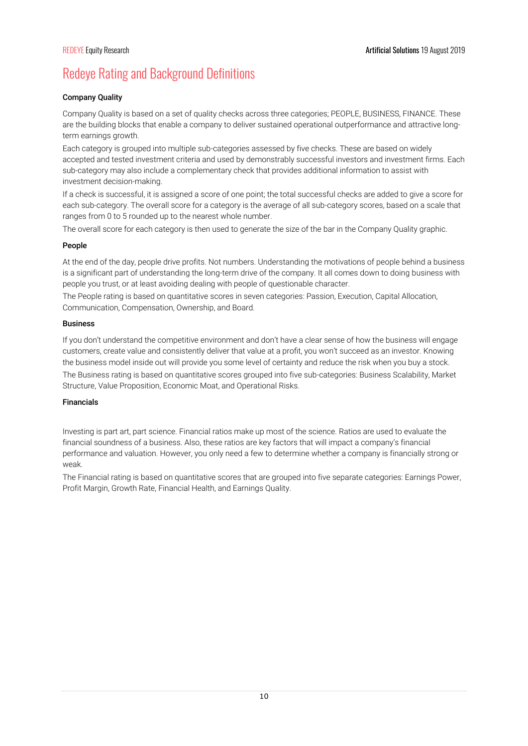# Redeye Rating and Background Definitions

### Company Quality

Company Quality is based on a set of quality checks across three categories; PEOPLE, BUSINESS, FINANCE. These are the building blocks that enable a company to deliver sustained operational outperformance and attractive longterm earnings growth.

Each category is grouped into multiple sub-categories assessed by five checks. These are based on widely accepted and tested investment criteria and used by demonstrably successful investors and investment firms. Each sub-category may also include a complementary check that provides additional information to assist with investment decision-making.

If a check is successful, it is assigned a score of one point; the total successful checks are added to give a score for each sub-category. The overall score for a category is the average of all sub-category scores, based on a scale that ranges from 0 to 5 rounded up to the nearest whole number.

The overall score for each category is then used to generate the size of the bar in the Company Quality graphic.

### People

At the end of the day, people drive profits. Not numbers. Understanding the motivations of people behind a business is a significant part of understanding the long-term drive of the company. It all comes down to doing business with people you trust, or at least avoiding dealing with people of questionable character.

The People rating is based on quantitative scores in seven categories: Passion, Execution, Capital Allocation, Communication, Compensation, Ownership, and Board.

### Business

If you don't understand the competitive environment and don't have a clear sense of how the business will engage customers, create value and consistently deliver that value at a profit, you won't succeed as an investor. Knowing the business model inside out will provide you some level of certainty and reduce the risk when you buy a stock. The Business rating is based on quantitative scores grouped into five sub-categories: Business Scalability, Market Structure, Value Proposition, Economic Moat, and Operational Risks.

### Financials

Investing is part art, part science. Financial ratios make up most of the science. Ratios are used to evaluate the financial soundness of a business. Also, these ratios are key factors that will impact a company's financial performance and valuation. However, you only need a few to determine whether a company is financially strong or weak.

The Financial rating is based on quantitative scores that are grouped into five separate categories: Earnings Power, Profit Margin, Growth Rate, Financial Health, and Earnings Quality.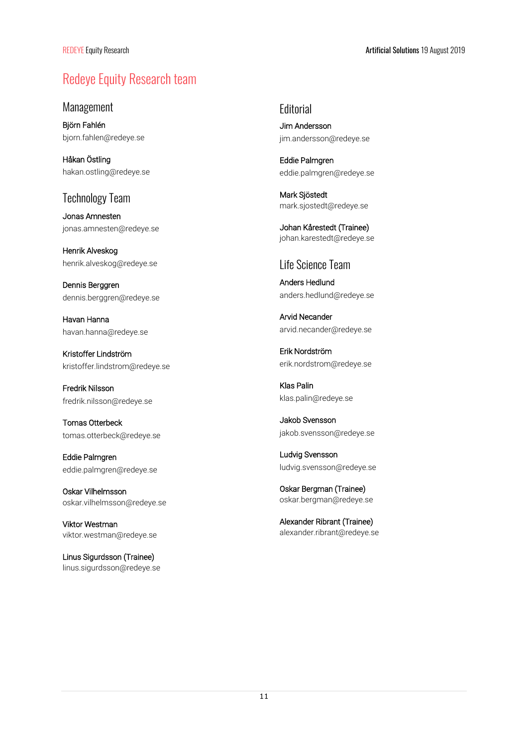# Redeye Equity Research team

Management

Björn Fahlén bjorn.fahlen@redeye.se

Håkan Östling hakan.ostling@redeye.se

### Technology Team

Jonas Amnesten jonas.amnesten@redeye.se

Henrik Alveskog henrik.alveskog@redeye.se

Dennis Berggren dennis.berggren@redeye.se

Havan Hanna havan.hanna@redeye.se

Kristoffer Lindström kristoffer.lindstrom@redeye.se

Fredrik Nilsson fredrik.nilsson@redeye.se

Tomas Otterbeck tomas.otterbeck@redeye.se

Eddie Palmgren eddie.palmgren@redeye.se

Oskar Vilhelmsson oskar.vilhelmsson@redeye.se

Viktor Westman viktor.westman@redeye.se

Linus Sigurdsson (Trainee) linus.sigurdsson@redeye.se **Editorial** 

Jim Andersson jim.andersson@redeye.se

Eddie Palmgren eddie.palmgren@redeye.se

Mark Sjöstedt mark.sjostedt@redeye.se

Johan Kårestedt (Trainee) johan.karestedt@redeye.se

### Life Science Team

Anders Hedlund anders.hedlund@redeye.se

Arvid Necander arvid.necander@redeye.se

Erik Nordström erik.nordstrom@redeye.se

Klas Palin klas.palin@redeye.se

Jakob Svensson jakob.svensson@redeye.se

Ludvig Svensson ludvig.svensson@redeye.se

Oskar Bergman (Trainee) oskar.bergman@redeye.se

Alexander Ribrant (Trainee) alexander.ribrant@redeye.se